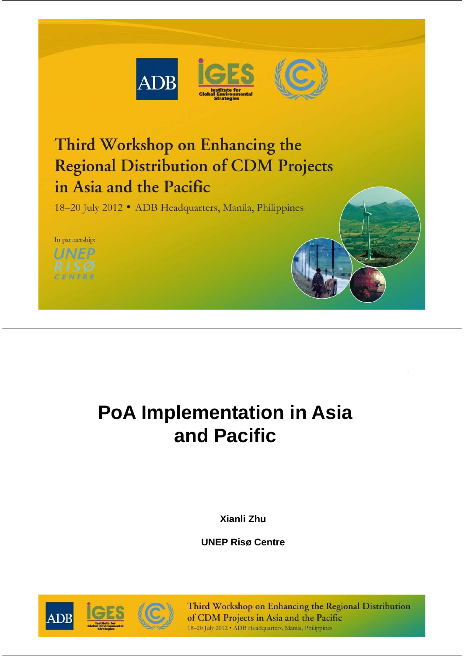



# Third Workshop on Enhancing the **Regional Distribution of CDM Projects** in Asia and the Pacific

18-20 July 2012 • ADB Headquarters, Manila, Philippines



# **PoA Implementation in Asia and Pacific**

**Xianli Zhu**

**UNEP Risø Centre**

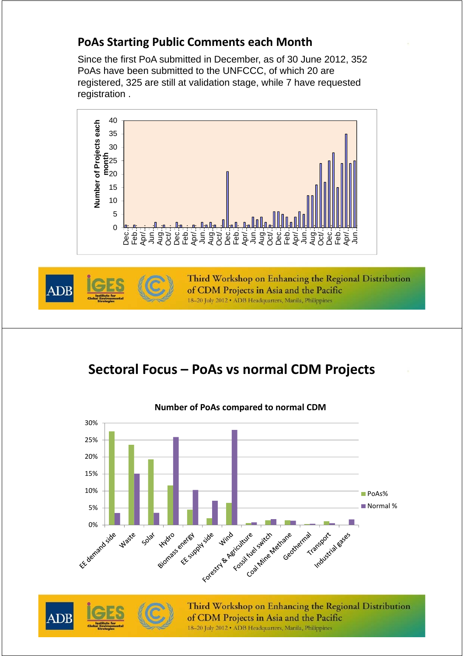#### **PoAs Starting Public Comments each Month**

Since the first PoA submitted in December, as of 30 June 2012, 352 PoAs have been submitted to the UNFCCC, of which 20 are registered, 325 are still at validation stage, while 7 have requested registration .





Third Workshop on Enhancing the Regional Distribution of CDM Projects in Asia and the Pacific 18-20 July 2012 · ADB Headquarters, Manila, Philippines

### **Sectoral Focus – PoAs vs normal CDM Projects**





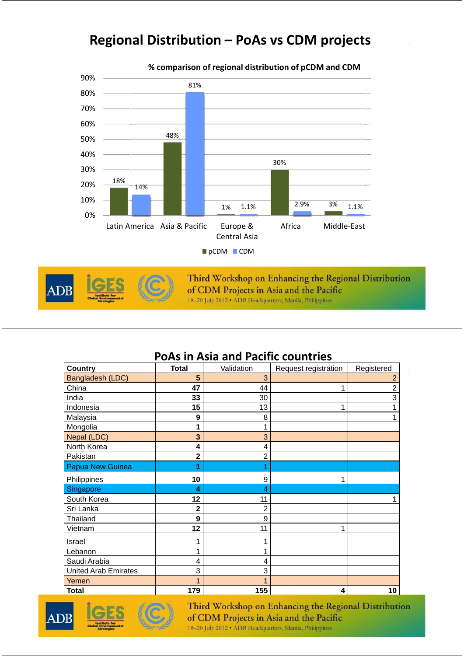#### **Regional Distribution – PoAs vs CDM projects**





Third Workshop on Enhancing the Regional Distribution of CDM Projects in Asia and the Pacific 18-20 July 2012 . ADB Headquarters, Manila, Philippines

#### **PoAs in Asia and Pacific countries**

| <b>Country</b>              | <b>Total</b> | Validation     | Request registration | Registered |
|-----------------------------|--------------|----------------|----------------------|------------|
| Bangladesh (LDC)            | 5            | 3              |                      | 2          |
| China                       | 47           | 44             | 1                    | 2          |
| India                       | 33           | 30             |                      | 3          |
| Indonesia                   | 15           | 13             | 1                    |            |
| Malaysia                    | 9            | 8              |                      |            |
| Mongolia                    | 1            | 1              |                      |            |
| Nepal (LDC)                 | 3            | 3              |                      |            |
| North Korea                 | 4            | 4              |                      |            |
| Pakistan                    | 2            | $\overline{2}$ |                      |            |
| Papua New Guinea            |              |                |                      |            |
| Philippines                 | 10           | 9              |                      |            |
| Singapore                   | 4            | 4              |                      |            |
| South Korea                 | 12           | 11             |                      |            |
| Sri Lanka                   | 2            | 2              |                      |            |
| Thailand                    | 9            | 9              |                      |            |
| Vietnam                     | 12           | 11             | 1                    |            |
| Israel                      |              | 1              |                      |            |
| Lebanon                     |              | 1              |                      |            |
| Saudi Arabia                | 4            | 4              |                      |            |
| <b>United Arab Emirates</b> | 3            | 3              |                      |            |
| Yemen                       |              |                |                      |            |
| <b>Total</b>                | 179          | 155            | 4                    | 10         |



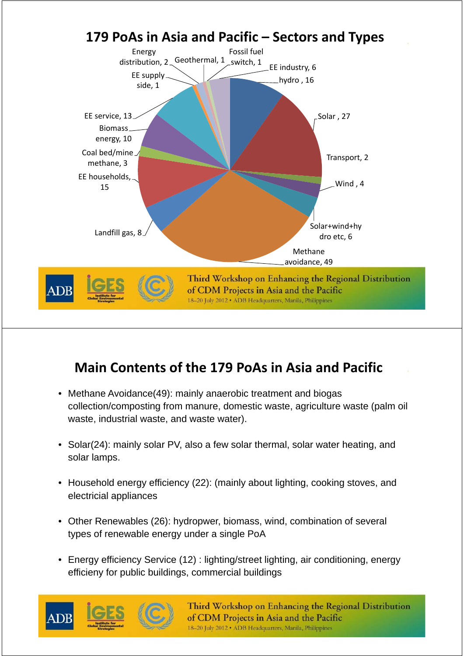

### **Main Contents of the 179 PoAs in Asia and Pacific**

- Methane Avoidance(49): mainly anaerobic treatment and biogas collection/composting from manure, domestic waste, agriculture waste (palm oil waste, industrial waste, and waste water).
- Solar(24): mainly solar PV, also a few solar thermal, solar water heating, and solar lamps.
- Household energy efficiency (22): (mainly about lighting, cooking stoves, and electricial appliances
- Other Renewables (26): hydropwer, biomass, wind, combination of several types of renewable energy under a single PoA
- Energy efficiency Service (12) : lighting/street lighting, air conditioning, energy efficieny for public buildings, commercial buildings



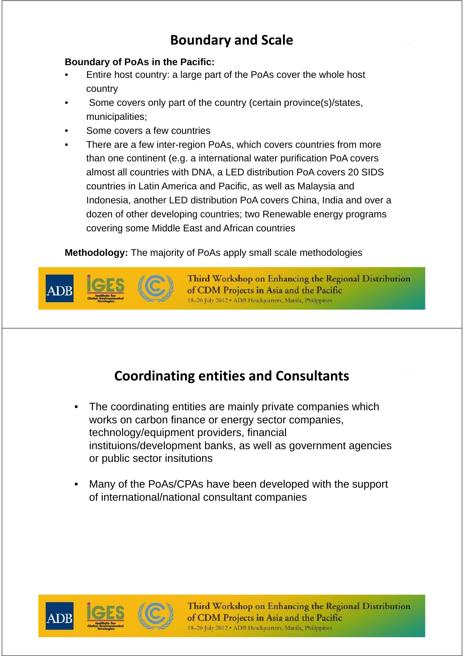### **Boundary and Scale**

#### **Boundary of PoAs in the Pacific:**

- Entire host country: a large part of the PoAs cover the whole host country
- Some covers only part of the country (certain province(s)/states, municipalities;
- Some covers a few countries
- There are a few inter-region PoAs, which covers countries from more than one continent (e.g. a international water purification PoA covers almost all countries with DNA, a LED distribution PoA covers 20 SIDS countries in Latin America and Pacific, as well as Malaysia and Indonesia, another LED distribution PoA covers China, India and over a dozen of other developing countries; two Renewable energy programs covering some Middle East and African countries

**Methodology:** The majority of PoAs apply small scale methodologies



Third Workshop on Enhancing the Regional Distribution of CDM Projects in Asia and the Pacific 18-20 July 2012 · ADB Headquarters, Manila, Philippines

### **Coordinating entities and Consultants**

- The coordinating entities are mainly private companies which works on carbon finance or energy sector companies, technology/equipment providers, financial instituions/development banks, as well as government agencies or public sector insitutions
- Many of the PoAs/CPAs have been developed with the support of international/national consultant companies



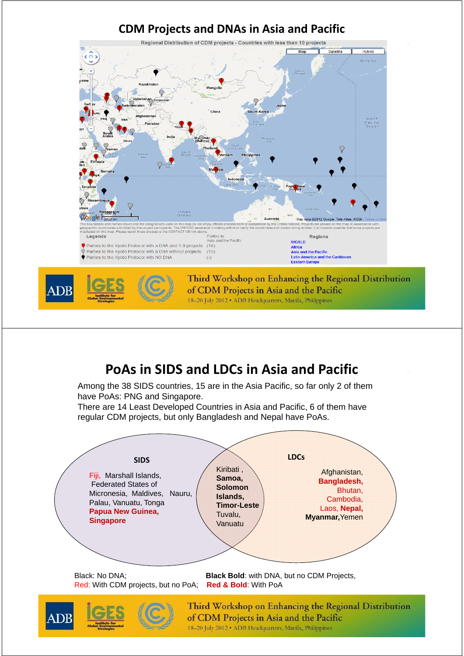

#### **PoAs in SIDS and LDCs in Asia and Pacific**

Among the 38 SIDS countries, 15 are in the Asia Pacific, so far only 2 of them have PoAs: PNG and Singapore.

There are 14 Least Developed Countries in Asia and Pacific, 6 of them have regular CDM projects, but only Bangladesh and Nepal have PoAs.



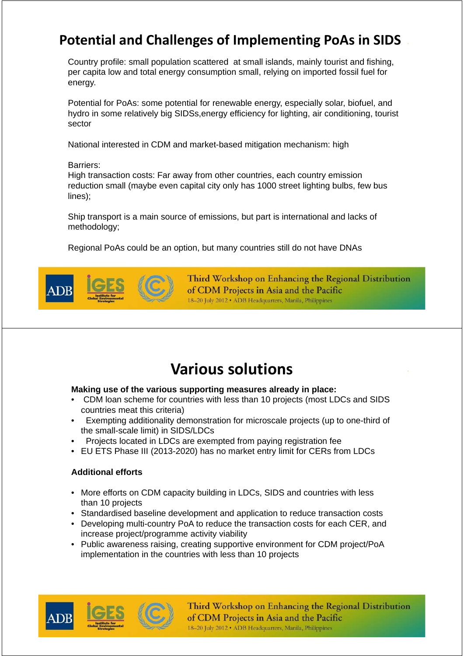### **Potential and Challenges of Implementing PoAs in SIDS**

Country profile: small population scattered at small islands, mainly tourist and fishing, per capita low and total energy consumption small, relying on imported fossil fuel for energy.

Potential for PoAs: some potential for renewable energy, especially solar, biofuel, and hydro in some relatively big SIDSs,energy efficiency for lighting, air conditioning, tourist sector

National interested in CDM and market-based mitigation mechanism: high

Barriers:

High transaction costs: Far away from other countries, each country emission reduction small (maybe even capital city only has 1000 street lighting bulbs, few bus lines);

Ship transport is a main source of emissions, but part is international and lacks of methodology;

Regional PoAs could be an option, but many countries still do not have DNAs



Third Workshop on Enhancing the Regional Distribution of CDM Projects in Asia and the Pacific 18-20 July 2012 . ADB Headquarters, Manila, Philippines

## **Various solutions**

#### **Making use of the various supporting measures already in place:**

- CDM loan scheme for countries with less than 10 projects (most LDCs and SIDS countries meat this criteria)
- Exempting additionality demonstration for microscale projects (up to one-third of the small-scale limit) in SIDS/LDCs
- Projects located in LDCs are exempted from paying registration fee
- EU ETS Phase III (2013-2020) has no market entry limit for CERs from LDCs

#### **Additional efforts**

- More efforts on CDM capacity building in LDCs, SIDS and countries with less than 10 projects
- Standardised baseline development and application to reduce transaction costs
- Developing multi-country PoA to reduce the transaction costs for each CER, and increase project/programme activity viability
- Public awareness raising, creating supportive environment for CDM project/PoA implementation in the countries with less than 10 projects